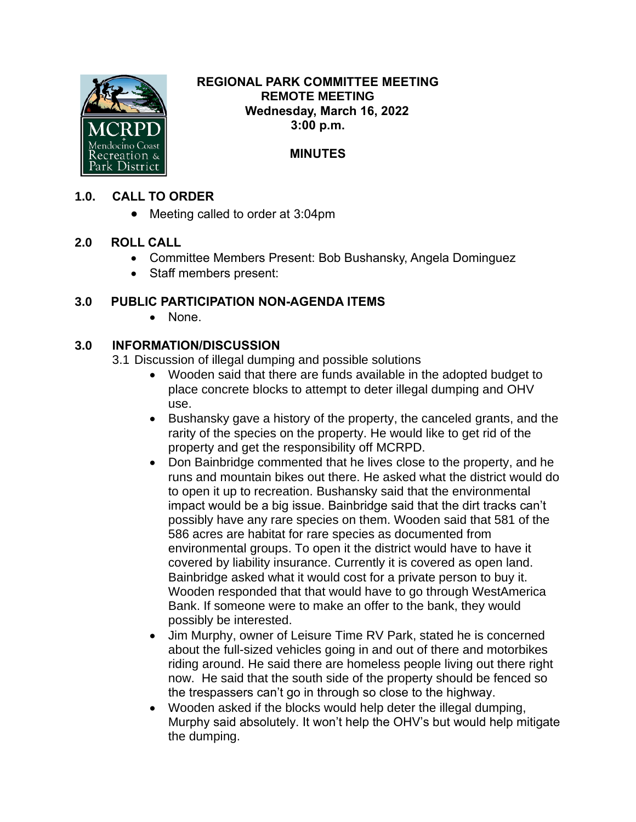

#### **REGIONAL PARK COMMITTEE MEETING REMOTE MEETING Wednesday, March 16, 2022 3:00 p.m.**

# **MINUTES**

### **1.0. CALL TO ORDER**

• Meeting called to order at 3:04pm

## **2.0 ROLL CALL**

- Committee Members Present: Bob Bushansky, Angela Dominguez
- Staff members present:

## **3.0 PUBLIC PARTICIPATION NON-AGENDA ITEMS**

• None.

### **3.0 INFORMATION/DISCUSSION**

3.1 Discussion of illegal dumping and possible solutions

- Wooden said that there are funds available in the adopted budget to place concrete blocks to attempt to deter illegal dumping and OHV use.
- Bushansky gave a history of the property, the canceled grants, and the rarity of the species on the property. He would like to get rid of the property and get the responsibility off MCRPD.
- Don Bainbridge commented that he lives close to the property, and he runs and mountain bikes out there. He asked what the district would do to open it up to recreation. Bushansky said that the environmental impact would be a big issue. Bainbridge said that the dirt tracks can't possibly have any rare species on them. Wooden said that 581 of the 586 acres are habitat for rare species as documented from environmental groups. To open it the district would have to have it covered by liability insurance. Currently it is covered as open land. Bainbridge asked what it would cost for a private person to buy it. Wooden responded that that would have to go through WestAmerica Bank. If someone were to make an offer to the bank, they would possibly be interested.
- Jim Murphy, owner of Leisure Time RV Park, stated he is concerned about the full-sized vehicles going in and out of there and motorbikes riding around. He said there are homeless people living out there right now. He said that the south side of the property should be fenced so the trespassers can't go in through so close to the highway.
- Wooden asked if the blocks would help deter the illegal dumping, Murphy said absolutely. It won't help the OHV's but would help mitigate the dumping.